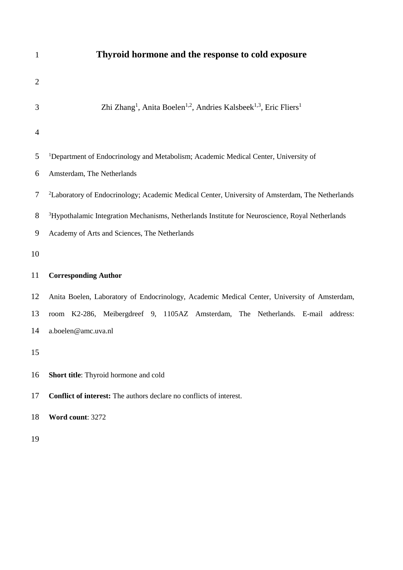| $\mathbf{1}$   | Thyroid hormone and the response to cold exposure                                                                 |  |  |  |  |  |
|----------------|-------------------------------------------------------------------------------------------------------------------|--|--|--|--|--|
| $\overline{2}$ |                                                                                                                   |  |  |  |  |  |
| 3              | Zhi Zhang <sup>1</sup> , Anita Boelen <sup>1,2</sup> , Andries Kalsbeek <sup>1,3</sup> , Eric Fliers <sup>1</sup> |  |  |  |  |  |
| 4              |                                                                                                                   |  |  |  |  |  |
| 5              | <sup>1</sup> Department of Endocrinology and Metabolism; Academic Medical Center, University of                   |  |  |  |  |  |
| 6              | Amsterdam, The Netherlands                                                                                        |  |  |  |  |  |
| 7              | <sup>2</sup> Laboratory of Endocrinology; Academic Medical Center, University of Amsterdam, The Netherlands       |  |  |  |  |  |
| 8              | <sup>3</sup> Hypothalamic Integration Mechanisms, Netherlands Institute for Neuroscience, Royal Netherlands       |  |  |  |  |  |
| 9              | Academy of Arts and Sciences, The Netherlands                                                                     |  |  |  |  |  |
| 10             |                                                                                                                   |  |  |  |  |  |
| 11             | <b>Corresponding Author</b>                                                                                       |  |  |  |  |  |
| 12             | Anita Boelen, Laboratory of Endocrinology, Academic Medical Center, University of Amsterdam,                      |  |  |  |  |  |
| 13             | room K2-286, Meibergdreef 9, 1105AZ Amsterdam, The Netherlands. E-mail address:                                   |  |  |  |  |  |
| 14             | a.boelen@amc.uva.nl                                                                                               |  |  |  |  |  |
| 15             |                                                                                                                   |  |  |  |  |  |
| 16             | Short title: Thyroid hormone and cold                                                                             |  |  |  |  |  |
| 17             | <b>Conflict of interest:</b> The authors declare no conflicts of interest.                                        |  |  |  |  |  |
| 18             | Word count: 3272                                                                                                  |  |  |  |  |  |
| 19             |                                                                                                                   |  |  |  |  |  |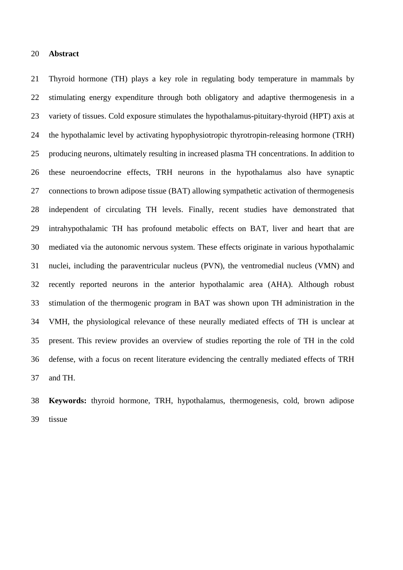## **Abstract**

 Thyroid hormone (TH) plays a key role in regulating body temperature in mammals by stimulating energy expenditure through both obligatory and adaptive thermogenesis in a variety of tissues. Cold exposure stimulates the hypothalamus-pituitary-thyroid (HPT) axis at the hypothalamic level by activating hypophysiotropic thyrotropin-releasing hormone (TRH) producing neurons, ultimately resulting in increased plasma TH concentrations. In addition to these neuroendocrine effects, TRH neurons in the hypothalamus also have synaptic connections to brown adipose tissue (BAT) allowing sympathetic activation of thermogenesis independent of circulating TH levels. Finally, recent studies have demonstrated that intrahypothalamic TH has profound metabolic effects on BAT, liver and heart that are mediated via the autonomic nervous system. These effects originate in various hypothalamic nuclei, including the paraventricular nucleus (PVN), the ventromedial nucleus (VMN) and recently reported neurons in the anterior hypothalamic area (AHA). Although robust stimulation of the thermogenic program in BAT was shown upon TH administration in the VMH, the physiological relevance of these neurally mediated effects of TH is unclear at present. This review provides an overview of studies reporting the role of TH in the cold defense, with a focus on recent literature evidencing the centrally mediated effects of TRH and TH.

 **Keywords:** thyroid hormone, TRH, hypothalamus, thermogenesis, cold, brown adipose tissue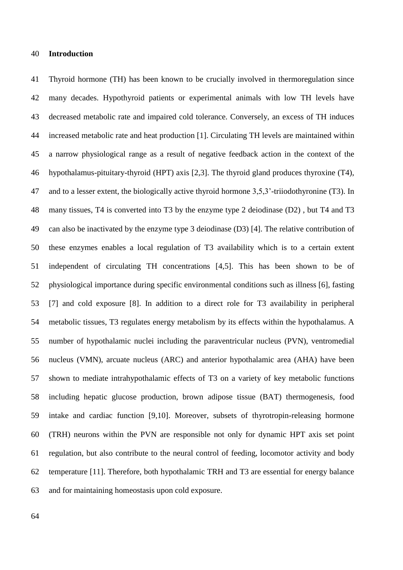## **Introduction**

 Thyroid hormone (TH) has been known to be crucially involved in thermoregulation since many decades. Hypothyroid patients or experimental animals with low TH levels have decreased metabolic rate and impaired cold tolerance. Conversely, an excess of TH induces increased metabolic rate and heat production [1]. Circulating TH levels are maintained within a narrow physiological range as a result of negative feedback action in the context of the hypothalamus-pituitary-thyroid (HPT) axis [2,3]. The thyroid gland produces thyroxine (T4), and to a lesser extent, the biologically active thyroid hormone 3,5,3'-triiodothyronine (T3). In many tissues, T4 is converted into T3 by the enzyme type 2 deiodinase (D2) , but T4 and T3 can also be inactivated by the enzyme type 3 deiodinase (D3) [4]. The relative contribution of these enzymes enables a local regulation of T3 availability which is to a certain extent independent of circulating TH concentrations [4,5]. This has been shown to be of physiological importance during specific environmental conditions such as illness [6], fasting [7] and cold exposure [8]. In addition to a direct role for T3 availability in peripheral metabolic tissues, T3 regulates energy metabolism by its effects within the hypothalamus. A number of hypothalamic nuclei including the paraventricular nucleus (PVN), ventromedial nucleus (VMN), arcuate nucleus (ARC) and anterior hypothalamic area (AHA) have been shown to mediate intrahypothalamic effects of T3 on a variety of key metabolic functions including hepatic glucose production, brown adipose tissue (BAT) thermogenesis, food intake and cardiac function [9,10]. Moreover, subsets of thyrotropin-releasing hormone (TRH) neurons within the PVN are responsible not only for dynamic HPT axis set point regulation, but also contribute to the neural control of feeding, locomotor activity and body temperature [11]. Therefore, both hypothalamic TRH and T3 are essential for energy balance and for maintaining homeostasis upon cold exposure.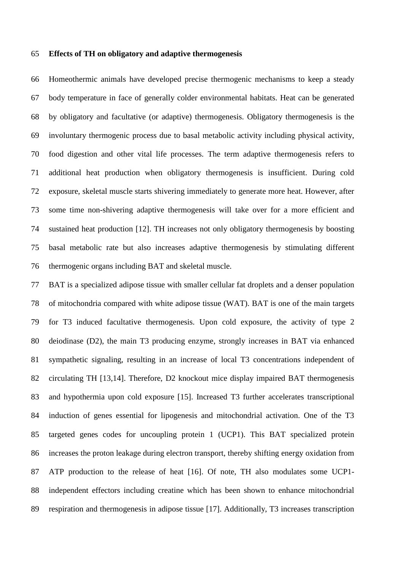#### **Effects of TH on obligatory and adaptive thermogenesis**

 Homeothermic animals have developed precise thermogenic mechanisms to keep a steady body temperature in face of generally colder environmental habitats. Heat can be generated by obligatory and facultative (or adaptive) thermogenesis. Obligatory thermogenesis is the involuntary thermogenic process due to basal metabolic activity including physical activity, food digestion and other vital life processes. The term adaptive thermogenesis refers to additional heat production when obligatory thermogenesis is insufficient. During cold exposure, skeletal muscle starts shivering immediately to generate more heat. However, after some time non-shivering adaptive thermogenesis will take over for a more efficient and sustained heat production [12]. TH increases not only obligatory thermogenesis by boosting basal metabolic rate but also increases adaptive thermogenesis by stimulating different thermogenic organs including BAT and skeletal muscle.

 BAT is a specialized adipose tissue with smaller cellular fat droplets and a denser population of mitochondria compared with white adipose tissue (WAT). BAT is one of the main targets for T3 induced facultative thermogenesis. Upon cold exposure, the activity of type 2 deiodinase (D2), the main T3 producing enzyme, strongly increases in BAT via enhanced sympathetic signaling, resulting in an increase of local T3 concentrations independent of circulating TH [13,14]. Therefore, D2 knockout mice display impaired BAT thermogenesis and hypothermia upon cold exposure [15]. Increased T3 further accelerates transcriptional induction of genes essential for lipogenesis and mitochondrial activation. One of the T3 targeted genes codes for uncoupling protein 1 (UCP1). This BAT specialized protein increases the proton leakage during electron transport, thereby shifting energy oxidation from ATP production to the release of heat [16]. Of note, TH also modulates some UCP1- independent effectors including creatine which has been shown to enhance mitochondrial respiration and thermogenesis in adipose tissue [17]. Additionally, T3 increases transcription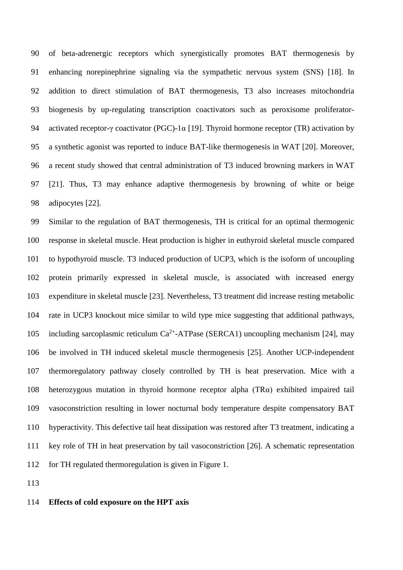of beta-adrenergic receptors which synergistically promotes BAT thermogenesis by enhancing norepinephrine signaling via the sympathetic nervous system (SNS) [18]. In addition to direct stimulation of BAT thermogenesis, T3 also increases mitochondria biogenesis by up-regulating transcription coactivators such as peroxisome proliferator- activated receptor-γ coactivator (PGC)-1α [19]. Thyroid hormone receptor (TR) activation by a synthetic agonist was reported to induce BAT-like thermogenesis in WAT [20]. Moreover, a recent study showed that central administration of T3 induced browning markers in WAT [21]. Thus, T3 may enhance adaptive thermogenesis by browning of white or beige adipocytes [22].

 Similar to the regulation of BAT thermogenesis, TH is critical for an optimal thermogenic response in skeletal muscle. Heat production is higher in euthyroid skeletal muscle compared to hypothyroid muscle. T3 induced production of UCP3, which is the isoform of uncoupling protein primarily expressed in skeletal muscle, is associated with increased energy expenditure in skeletal muscle [23]. Nevertheless, T3 treatment did increase resting metabolic rate in UCP3 knockout mice similar to wild type mice suggesting that additional pathways, 105 including sarcoplasmic reticulum  $Ca^{2+}$ -ATPase (SERCA1) uncoupling mechanism [24], may be involved in TH induced skeletal muscle thermogenesis [25]. Another UCP-independent thermoregulatory pathway closely controlled by TH is heat preservation. Mice with a heterozygous mutation in thyroid hormone receptor alpha (TRα) exhibited impaired tail vasoconstriction resulting in lower nocturnal body temperature despite compensatory BAT hyperactivity. This defective tail heat dissipation was restored after T3 treatment, indicating a key role of TH in heat preservation by tail vasoconstriction [26]. A schematic representation for TH regulated thermoregulation is given in Figure 1.

# **Effects of cold exposure on the HPT axis**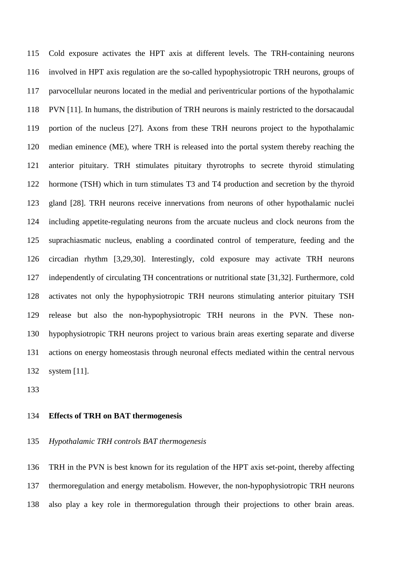Cold exposure activates the HPT axis at different levels. The TRH-containing neurons involved in HPT axis regulation are the so-called hypophysiotropic TRH neurons, groups of parvocellular neurons located in the medial and periventricular portions of the hypothalamic PVN [11]. In humans, the distribution of TRH neurons is mainly restricted to the dorsacaudal portion of the nucleus [27]. Axons from these TRH neurons project to the hypothalamic median eminence (ME), where TRH is released into the portal system thereby reaching the anterior pituitary. TRH stimulates pituitary thyrotrophs to secrete thyroid stimulating hormone (TSH) which in turn stimulates T3 and T4 production and secretion by the thyroid gland [28]. TRH neurons receive innervations from neurons of other hypothalamic nuclei including appetite-regulating neurons from the arcuate nucleus and clock neurons from the suprachiasmatic nucleus, enabling a coordinated control of temperature, feeding and the circadian rhythm [3,29,30]. Interestingly, cold exposure may activate TRH neurons independently of circulating TH concentrations or nutritional state [31,32]. Furthermore, cold activates not only the hypophysiotropic TRH neurons stimulating anterior pituitary TSH release but also the non-hypophysiotropic TRH neurons in the PVN. These non- hypophysiotropic TRH neurons project to various brain areas exerting separate and diverse actions on energy homeostasis through neuronal effects mediated within the central nervous system [11].

## **Effects of TRH on BAT thermogenesis**

*Hypothalamic TRH controls BAT thermogenesis*

 TRH in the PVN is best known for its regulation of the HPT axis set-point, thereby affecting thermoregulation and energy metabolism. However, the non-hypophysiotropic TRH neurons also play a key role in thermoregulation through their projections to other brain areas.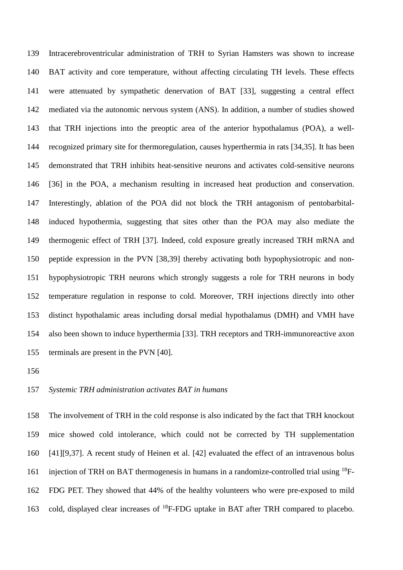Intracerebroventricular administration of TRH to Syrian Hamsters was shown to increase BAT activity and core temperature, without affecting circulating TH levels. These effects were attenuated by sympathetic denervation of BAT [33], suggesting a central effect mediated via the autonomic nervous system (ANS). In addition, a number of studies showed that TRH injections into the preoptic area of the anterior hypothalamus (POA), a well- recognized primary site for thermoregulation, causes hyperthermia in rats [34,35]. It has been demonstrated that TRH inhibits heat-sensitive neurons and activates cold-sensitive neurons [36] in the POA, a mechanism resulting in increased heat production and conservation. Interestingly, ablation of the POA did not block the TRH antagonism of pentobarbital- induced hypothermia, suggesting that sites other than the POA may also mediate the thermogenic effect of TRH [37]. Indeed, cold exposure greatly increased TRH mRNA and peptide expression in the PVN [38,39] thereby activating both hypophysiotropic and non- hypophysiotropic TRH neurons which strongly suggests a role for TRH neurons in body temperature regulation in response to cold. Moreover, TRH injections directly into other distinct hypothalamic areas including dorsal medial hypothalamus (DMH) and VMH have also been shown to induce hyperthermia [33]. TRH receptors and TRH-immunoreactive axon terminals are present in the PVN [40].

## *Systemic TRH administration activates BAT in humans*

 The involvement of TRH in the cold response is also indicated by the fact that TRH knockout mice showed cold intolerance, which could not be corrected by TH supplementation [41][9,37]. A recent study of Heinen et al. [42] evaluated the effect of an intravenous bolus 161 injection of TRH on BAT thermogenesis in humans in a randomize-controlled trial using  $^{18}F-$  FDG PET. They showed that 44% of the healthy volunteers who were pre-exposed to mild 163 cold, displayed clear increases of <sup>18</sup>F-FDG uptake in BAT after TRH compared to placebo.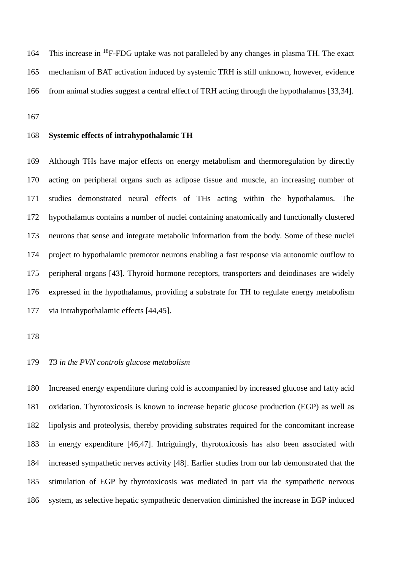164 This increase in  $^{18}$ F-FDG uptake was not paralleled by any changes in plasma TH. The exact mechanism of BAT activation induced by systemic TRH is still unknown, however, evidence from animal studies suggest a central effect of TRH acting through the hypothalamus [33,34].

## **Systemic effects of intrahypothalamic TH**

 Although THs have major effects on energy metabolism and thermoregulation by directly acting on peripheral organs such as adipose tissue and muscle, an increasing number of studies demonstrated neural effects of THs acting within the hypothalamus. The hypothalamus contains a number of nuclei containing anatomically and functionally clustered neurons that sense and integrate metabolic information from the body. Some of these nuclei project to hypothalamic premotor neurons enabling a fast response via autonomic outflow to peripheral organs [43]. Thyroid hormone receptors, transporters and deiodinases are widely expressed in the hypothalamus, providing a substrate for TH to regulate energy metabolism via intrahypothalamic effects [44,45].

# *T3 in the PVN controls glucose metabolism*

 Increased energy expenditure during cold is accompanied by increased glucose and fatty acid oxidation. Thyrotoxicosis is known to increase hepatic glucose production (EGP) as well as lipolysis and proteolysis, thereby providing substrates required for the concomitant increase in energy expenditure [46,47]. Intriguingly, thyrotoxicosis has also been associated with increased sympathetic nerves activity [48]. Earlier studies from our lab demonstrated that the stimulation of EGP by thyrotoxicosis was mediated in part via the sympathetic nervous system, as selective hepatic sympathetic denervation diminished the increase in EGP induced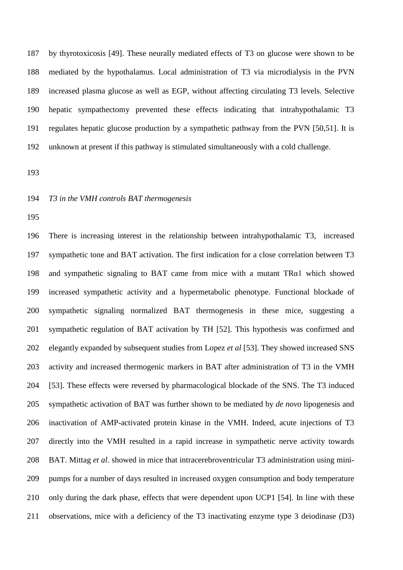by thyrotoxicosis [49]. These neurally mediated effects of T3 on glucose were shown to be mediated by the hypothalamus. Local administration of T3 via microdialysis in the PVN increased plasma glucose as well as EGP, without affecting circulating T3 levels. Selective hepatic sympathectomy prevented these effects indicating that intrahypothalamic T3 regulates hepatic glucose production by a sympathetic pathway from the PVN [50,51]. It is unknown at present if this pathway is stimulated simultaneously with a cold challenge.

## *T3 in the VMH controls BAT thermogenesis*

 There is increasing interest in the relationship between intrahypothalamic T3, increased sympathetic tone and BAT activation. The first indication for a close correlation between T3 and sympathetic signaling to BAT came from mice with a mutant TRα1 which showed increased sympathetic activity and a hypermetabolic phenotype. Functional blockade of sympathetic signaling normalized BAT thermogenesis in these mice, suggesting a sympathetic regulation of BAT activation by TH [52]. This hypothesis was confirmed and elegantly expanded by subsequent studies from Lopez *et al* [53]. They showed increased SNS activity and increased thermogenic markers in BAT after administration of T3 in the VMH [53]. These effects were reversed by pharmacological blockade of the SNS. The T3 induced sympathetic activation of BAT was further shown to be mediated by *de novo* lipogenesis and inactivation of AMP-activated protein kinase in the VMH. Indeed, acute injections of T3 directly into the VMH resulted in a rapid increase in sympathetic nerve activity towards BAT. Mittag *et al*. showed in mice that intracerebroventricular T3 administration using mini- pumps for a number of days resulted in increased oxygen consumption and body temperature only during the dark phase, effects that were dependent upon UCP1 [54]. In line with these observations, mice with a deficiency of the T3 inactivating enzyme type 3 deiodinase (D3)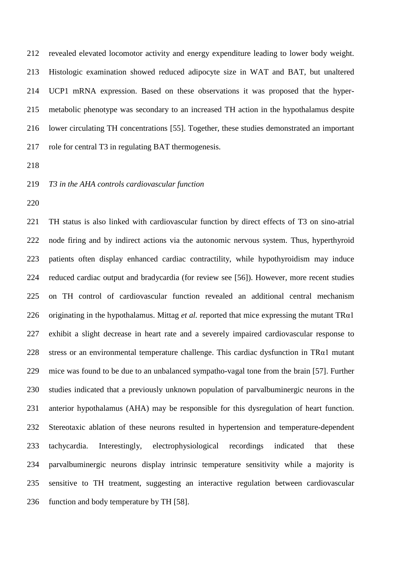revealed elevated locomotor activity and energy expenditure leading to lower body weight. Histologic examination showed reduced adipocyte size in WAT and BAT, but unaltered UCP1 mRNA expression. Based on these observations it was proposed that the hyper- metabolic phenotype was secondary to an increased TH action in the hypothalamus despite lower circulating TH concentrations [55]. Together, these studies demonstrated an important role for central T3 in regulating BAT thermogenesis.

*T3 in the AHA controls cardiovascular function*

 TH status is also linked with cardiovascular function by direct effects of T3 on sino-atrial node firing and by indirect actions via the autonomic nervous system. Thus, hyperthyroid patients often display enhanced cardiac contractility, while hypothyroidism may induce reduced cardiac output and bradycardia (for review see [56]). However, more recent studies on TH control of cardiovascular function revealed an additional central mechanism originating in the hypothalamus. Mittag *et al.* reported that mice expressing the mutant TRα1 exhibit a slight decrease in heart rate and a severely impaired cardiovascular response to stress or an environmental temperature challenge. This cardiac dysfunction in TRα1 mutant mice was found to be due to an unbalanced sympatho-vagal tone from the brain [57]. Further studies indicated that a previously unknown population of parvalbuminergic neurons in the anterior hypothalamus (AHA) may be responsible for this dysregulation of heart function. Stereotaxic ablation of these neurons resulted in hypertension and temperature-dependent tachycardia. Interestingly, electrophysiological recordings indicated that these parvalbuminergic neurons display intrinsic temperature sensitivity while a majority is sensitive to TH treatment, suggesting an interactive regulation between cardiovascular function and body temperature by TH [58].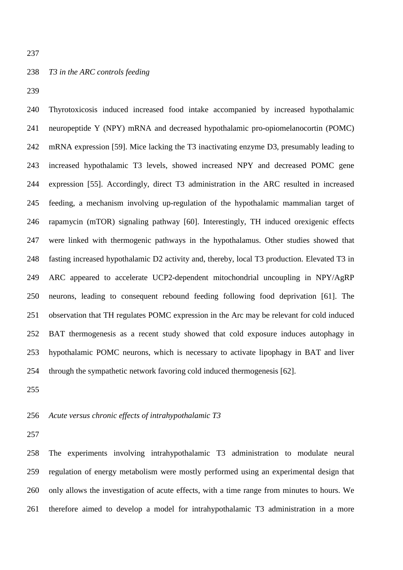# *T3 in the ARC controls feeding*

 Thyrotoxicosis induced increased food intake accompanied by increased hypothalamic neuropeptide Y (NPY) mRNA and decreased hypothalamic pro-opiomelanocortin (POMC) mRNA expression [59]. Mice lacking the T3 inactivating enzyme D3, presumably leading to increased hypothalamic T3 levels, showed increased NPY and decreased POMC gene expression [55]. Accordingly, direct T3 administration in the ARC resulted in increased feeding, a mechanism involving up-regulation of the hypothalamic mammalian target of rapamycin (mTOR) signaling pathway [60]. Interestingly, TH induced orexigenic effects were linked with thermogenic pathways in the hypothalamus. Other studies showed that fasting increased hypothalamic D2 activity and, thereby, local T3 production. Elevated T3 in ARC appeared to accelerate UCP2-dependent mitochondrial uncoupling in NPY/AgRP neurons, leading to consequent rebound feeding following food deprivation [61]. The observation that TH regulates POMC expression in the Arc may be relevant for cold induced BAT thermogenesis as a recent study showed that cold exposure induces autophagy in hypothalamic POMC neurons, which is necessary to activate lipophagy in BAT and liver through the sympathetic network favoring cold induced thermogenesis [62].

## *Acute versus chronic effects of intrahypothalamic T3*

 The experiments involving intrahypothalamic T3 administration to modulate neural regulation of energy metabolism were mostly performed using an experimental design that only allows the investigation of acute effects, with a time range from minutes to hours. We therefore aimed to develop a model for intrahypothalamic T3 administration in a more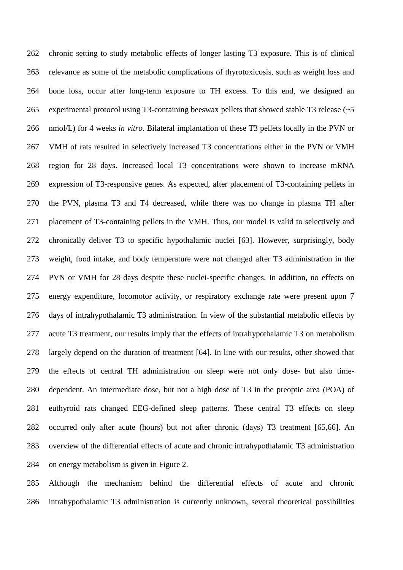chronic setting to study metabolic effects of longer lasting T3 exposure. This is of clinical relevance as some of the metabolic complications of thyrotoxicosis, such as weight loss and bone loss, occur after long-term exposure to TH excess. To this end, we designed an 265 experimental protocol using T3-containing beeswax pellets that showed stable T3 release (~5 nmol/L) for 4 weeks *in vitro*. Bilateral implantation of these T3 pellets locally in the PVN or VMH of rats resulted in selectively increased T3 concentrations either in the PVN or VMH region for 28 days. Increased local T3 concentrations were shown to increase mRNA expression of T3-responsive genes. As expected, after placement of T3-containing pellets in the PVN, plasma T3 and T4 decreased, while there was no change in plasma TH after placement of T3-containing pellets in the VMH. Thus, our model is valid to selectively and chronically deliver T3 to specific hypothalamic nuclei [63]. However, surprisingly, body weight, food intake, and body temperature were not changed after T3 administration in the PVN or VMH for 28 days despite these nuclei-specific changes. In addition, no effects on energy expenditure, locomotor activity, or respiratory exchange rate were present upon 7 days of intrahypothalamic T3 administration. In view of the substantial metabolic effects by acute T3 treatment, our results imply that the effects of intrahypothalamic T3 on metabolism largely depend on the duration of treatment [64]. In line with our results, other showed that the effects of central TH administration on sleep were not only dose- but also time- dependent. An intermediate dose, but not a high dose of T3 in the preoptic area (POA) of euthyroid rats changed EEG-defined sleep patterns. These central T3 effects on sleep occurred only after acute (hours) but not after chronic (days) T3 treatment [65,66]. An overview of the differential effects of acute and chronic intrahypothalamic T3 administration on energy metabolism is given in Figure 2.

 Although the mechanism behind the differential effects of acute and chronic intrahypothalamic T3 administration is currently unknown, several theoretical possibilities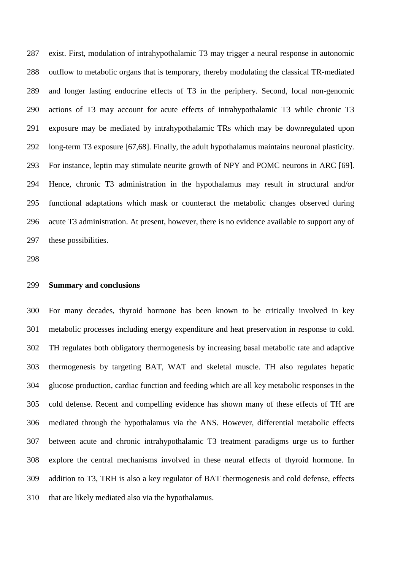exist. First, modulation of intrahypothalamic T3 may trigger a neural response in autonomic outflow to metabolic organs that is temporary, thereby modulating the classical TR-mediated and longer lasting endocrine effects of T3 in the periphery. Second, local non-genomic actions of T3 may account for acute effects of intrahypothalamic T3 while chronic T3 exposure may be mediated by intrahypothalamic TRs which may be downregulated upon long-term T3 exposure [67,68]. Finally, the adult hypothalamus maintains neuronal plasticity. For instance, leptin may stimulate neurite growth of NPY and POMC neurons in ARC [69]. Hence, chronic T3 administration in the hypothalamus may result in structural and/or functional adaptations which mask or counteract the metabolic changes observed during acute T3 administration. At present, however, there is no evidence available to support any of these possibilities.

## **Summary and conclusions**

 For many decades, thyroid hormone has been known to be critically involved in key metabolic processes including energy expenditure and heat preservation in response to cold. TH regulates both obligatory thermogenesis by increasing basal metabolic rate and adaptive thermogenesis by targeting BAT, WAT and skeletal muscle. TH also regulates hepatic glucose production, cardiac function and feeding which are all key metabolic responses in the cold defense. Recent and compelling evidence has shown many of these effects of TH are mediated through the hypothalamus via the ANS. However, differential metabolic effects between acute and chronic intrahypothalamic T3 treatment paradigms urge us to further explore the central mechanisms involved in these neural effects of thyroid hormone. In addition to T3, TRH is also a key regulator of BAT thermogenesis and cold defense, effects that are likely mediated also via the hypothalamus.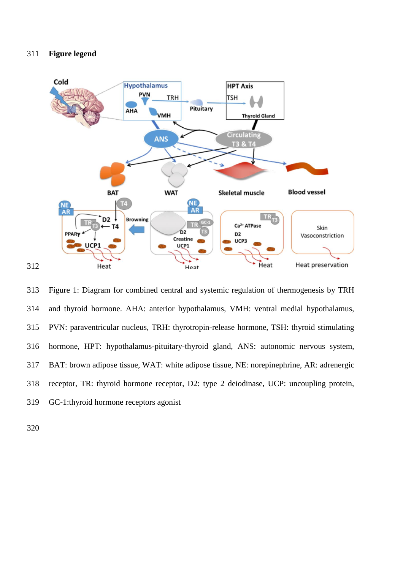## **Figure legend**



 Figure 1: Diagram for combined central and systemic regulation of thermogenesis by TRH and thyroid hormone. AHA: anterior hypothalamus, VMH: ventral medial hypothalamus, PVN: paraventricular nucleus, TRH: thyrotropin-release hormone, TSH: thyroid stimulating hormone, HPT: hypothalamus-pituitary-thyroid gland, ANS: autonomic nervous system, BAT: brown adipose tissue, WAT: white adipose tissue, NE: norepinephrine, AR: adrenergic receptor, TR: thyroid hormone receptor, D2: type 2 deiodinase, UCP: uncoupling protein, GC-1:thyroid hormone receptors agonist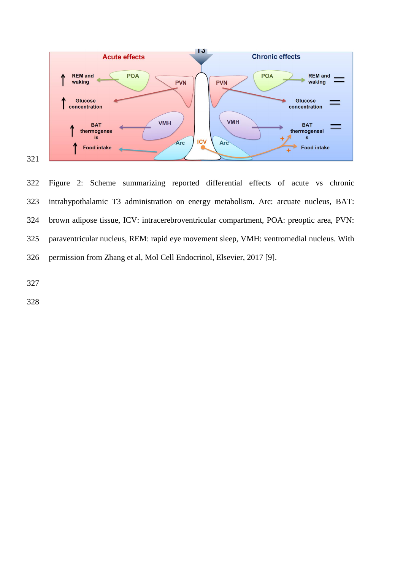

 Figure 2: Scheme summarizing reported differential effects of acute vs chronic intrahypothalamic T3 administration on energy metabolism. Arc: arcuate nucleus, BAT: brown adipose tissue, ICV: intracerebroventricular compartment, POA: preoptic area, PVN: paraventricular nucleus, REM: rapid eye movement sleep, VMH: ventromedial nucleus. With permission from Zhang et al, Mol Cell Endocrinol, Elsevier, 2017 [9].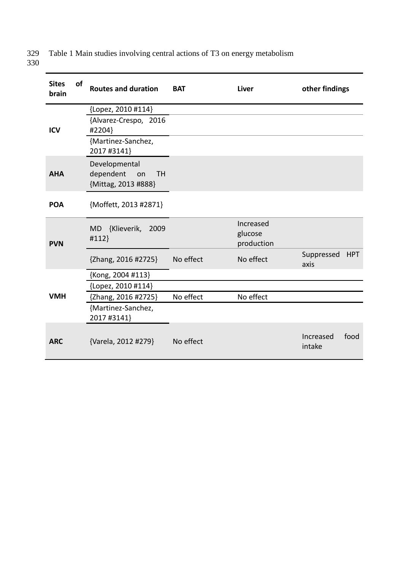Table 1 Main studies involving central actions of T3 on energy metabolism 329<br>330

| <b>Sites</b><br>brain | <b>of</b> | <b>Routes and duration</b>                                           | <b>BAT</b> | <b>Liver</b>                       | other findings                   |
|-----------------------|-----------|----------------------------------------------------------------------|------------|------------------------------------|----------------------------------|
|                       |           | {Lopez, 2010 #114}                                                   |            |                                    |                                  |
| <b>ICV</b>            |           | {Alvarez-Crespo, 2016<br>#2204}                                      |            |                                    |                                  |
|                       |           | {Martinez-Sanchez,<br>2017 #3141}                                    |            |                                    |                                  |
| <b>AHA</b>            |           | Developmental<br>dependent<br><b>TH</b><br>on<br>{Mittag, 2013 #888} |            |                                    |                                  |
| <b>POA</b>            |           | {Moffett, 2013 #2871}                                                |            |                                    |                                  |
| <b>PVN</b>            |           | {Klieverik,<br>2009<br><b>MD</b><br>#112}                            |            | Increased<br>glucose<br>production |                                  |
|                       |           | {Zhang, 2016 #2725}                                                  | No effect  | No effect                          | Suppressed<br><b>HPT</b><br>axis |
|                       |           | {Kong, 2004 #113}                                                    |            |                                    |                                  |
|                       |           | {Lopez, 2010 #114}                                                   |            |                                    |                                  |
| <b>VMH</b>            |           | {Zhang, 2016 #2725}                                                  | No effect  | No effect                          |                                  |
|                       |           | {Martinez-Sanchez,<br>2017 #3141}                                    |            |                                    |                                  |
|                       |           |                                                                      |            |                                    |                                  |
| <b>ARC</b>            |           | {Varela, 2012 #279}                                                  | No effect  |                                    | Increased<br>food<br>intake      |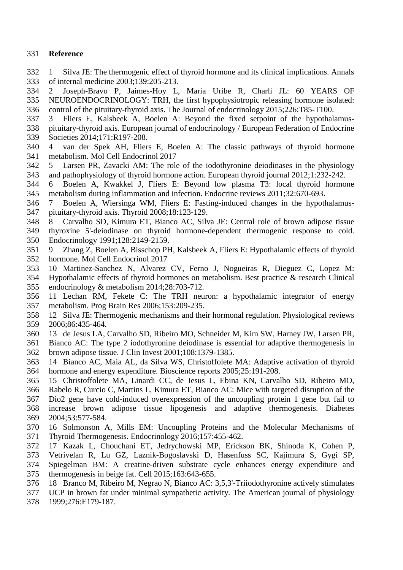# **Reference**

- 1 Silva JE: The thermogenic effect of thyroid hormone and its clinical implications. Annals of internal medicine 2003;139:205-213.
- 2 Joseph-Bravo P, Jaimes-Hoy L, Maria Uribe R, Charli JL: 60 YEARS OF NEUROENDOCRINOLOGY: TRH, the first hypophysiotropic releasing hormone isolated:
- control of the pituitary-thyroid axis. The Journal of endocrinology 2015;226:T85-T100.
- 3 Fliers E, Kalsbeek A, Boelen A: Beyond the fixed setpoint of the hypothalamus-
- pituitary-thyroid axis. European journal of endocrinology / European Federation of Endocrine
- Societies 2014;171:R197-208.
- 4 van der Spek AH, Fliers E, Boelen A: The classic pathways of thyroid hormone metabolism. Mol Cell Endocrinol 2017
- 5 Larsen PR, Zavacki AM: The role of the iodothyronine deiodinases in the physiology and pathophysiology of thyroid hormone action. European thyroid journal 2012;1:232-242.
- 6 Boelen A, Kwakkel J, Fliers E: Beyond low plasma T3: local thyroid hormone metabolism during inflammation and infection. Endocrine reviews 2011;32:670-693.
- 7 Boelen A, Wiersinga WM, Fliers E: Fasting-induced changes in the hypothalamus-pituitary-thyroid axis. Thyroid 2008;18:123-129.
- 8 Carvalho SD, Kimura ET, Bianco AC, Silva JE: Central role of brown adipose tissue thyroxine 5'-deiodinase on thyroid hormone-dependent thermogenic response to cold.
- Endocrinology 1991;128:2149-2159.
- 9 Zhang Z, Boelen A, Bisschop PH, Kalsbeek A, Fliers E: Hypothalamic effects of thyroid hormone. Mol Cell Endocrinol 2017
- 10 Martinez-Sanchez N, Alvarez CV, Ferno J, Nogueiras R, Dieguez C, Lopez M:
- Hypothalamic effects of thyroid hormones on metabolism. Best practice & research Clinical endocrinology & metabolism 2014;28:703-712.
- 11 Lechan RM, Fekete C: The TRH neuron: a hypothalamic integrator of energy metabolism. Prog Brain Res 2006;153:209-235.
- 12 Silva JE: Thermogenic mechanisms and their hormonal regulation. Physiological reviews 2006;86:435-464.
- 13 de Jesus LA, Carvalho SD, Ribeiro MO, Schneider M, Kim SW, Harney JW, Larsen PR,
- Bianco AC: The type 2 iodothyronine deiodinase is essential for adaptive thermogenesis in brown adipose tissue. J Clin Invest 2001;108:1379-1385.
- 14 Bianco AC, Maia AL, da Silva WS, Christoffolete MA: Adaptive activation of thyroid hormone and energy expenditure. Bioscience reports 2005;25:191-208.
- 15 Christoffolete MA, Linardi CC, de Jesus L, Ebina KN, Carvalho SD, Ribeiro MO,
- Rabelo R, Curcio C, Martins L, Kimura ET, Bianco AC: Mice with targeted disruption of the Dio2 gene have cold-induced overexpression of the uncoupling protein 1 gene but fail to increase brown adipose tissue lipogenesis and adaptive thermogenesis. Diabetes 2004;53:577-584.
- 16 Solmonson A, Mills EM: Uncoupling Proteins and the Molecular Mechanisms of Thyroid Thermogenesis. Endocrinology 2016;157:455-462.
- 17 Kazak L, Chouchani ET, Jedrychowski MP, Erickson BK, Shinoda K, Cohen P,
- Vetrivelan R, Lu GZ, Laznik-Bogoslavski D, Hasenfuss SC, Kajimura S, Gygi SP, Spiegelman BM: A creatine-driven substrate cycle enhances energy expenditure and
- thermogenesis in beige fat. Cell 2015;163:643-655.
- 18 Branco M, Ribeiro M, Negrao N, Bianco AC: 3,5,3'-Triiodothyronine actively stimulates
- UCP in brown fat under minimal sympathetic activity. The American journal of physiology
- 1999;276:E179-187.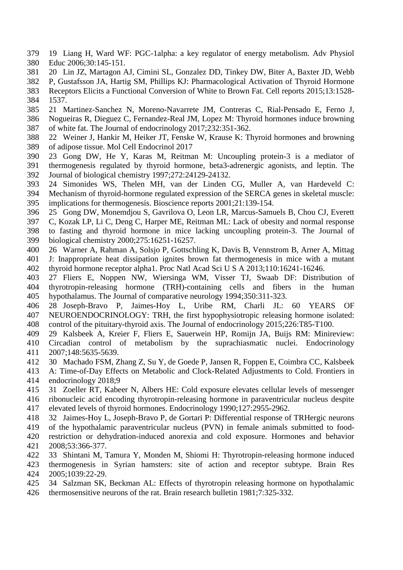- 19 Liang H, Ward WF: PGC-1alpha: a key regulator of energy metabolism. Adv Physiol Educ 2006;30:145-151.
- 20 Lin JZ, Martagon AJ, Cimini SL, Gonzalez DD, Tinkey DW, Biter A, Baxter JD, Webb
- P, Gustafsson JA, Hartig SM, Phillips KJ: Pharmacological Activation of Thyroid Hormone
- Receptors Elicits a Functional Conversion of White to Brown Fat. Cell reports 2015;13:1528- 1537.
- 21 Martinez-Sanchez N, Moreno-Navarrete JM, Contreras C, Rial-Pensado E, Ferno J, Nogueiras R, Dieguez C, Fernandez-Real JM, Lopez M: Thyroid hormones induce browning
- of white fat. The Journal of endocrinology 2017;232:351-362. 22 Weiner J, Hankir M, Heiker JT, Fenske W, Krause K: Thyroid hormones and browning
- of adipose tissue. Mol Cell Endocrinol 2017
- 23 Gong DW, He Y, Karas M, Reitman M: Uncoupling protein-3 is a mediator of thermogenesis regulated by thyroid hormone, beta3-adrenergic agonists, and leptin. The Journal of biological chemistry 1997;272:24129-24132.
- 24 Simonides WS, Thelen MH, van der Linden CG, Muller A, van Hardeveld C:
- Mechanism of thyroid-hormone regulated expression of the SERCA genes in skeletal muscle: implications for thermogenesis. Bioscience reports 2001;21:139-154.
- 25 Gong DW, Monemdjou S, Gavrilova O, Leon LR, Marcus-Samuels B, Chou CJ, Everett
- C, Kozak LP, Li C, Deng C, Harper ME, Reitman ML: Lack of obesity and normal response to fasting and thyroid hormone in mice lacking uncoupling protein-3. The Journal of biological chemistry 2000;275:16251-16257.
- 26 Warner A, Rahman A, Solsjo P, Gottschling K, Davis B, Vennstrom B, Arner A, Mittag J: Inappropriate heat dissipation ignites brown fat thermogenesis in mice with a mutant thyroid hormone receptor alpha1. Proc Natl Acad Sci U S A 2013;110:16241-16246.
- 27 Fliers E, Noppen NW, Wiersinga WM, Visser TJ, Swaab DF: Distribution of thyrotropin-releasing hormone (TRH)-containing cells and fibers in the human hypothalamus. The Journal of comparative neurology 1994;350:311-323.
- 28 Joseph-Bravo P, Jaimes-Hoy L, Uribe RM, Charli JL: 60 YEARS OF NEUROENDOCRINOLOGY: TRH, the first hypophysiotropic releasing hormone isolated: control of the pituitary-thyroid axis. The Journal of endocrinology 2015;226:T85-T100.
- 29 Kalsbeek A, Kreier F, Fliers E, Sauerwein HP, Romijn JA, Buijs RM: Minireview: Circadian control of metabolism by the suprachiasmatic nuclei. Endocrinology 2007;148:5635-5639.
- 30 Machado FSM, Zhang Z, Su Y, de Goede P, Jansen R, Foppen E, Coimbra CC, Kalsbeek
- A: Time-of-Day Effects on Metabolic and Clock-Related Adjustments to Cold. Frontiers in
- endocrinology 2018;9
- 31 Zoeller RT, Kabeer N, Albers HE: Cold exposure elevates cellular levels of messenger
- ribonucleic acid encoding thyrotropin-releasing hormone in paraventricular nucleus despite
- elevated levels of thyroid hormones. Endocrinology 1990;127:2955-2962.
- 32 Jaimes-Hoy L, Joseph-Bravo P, de Gortari P: Differential response of TRHergic neurons
- of the hypothalamic paraventricular nucleus (PVN) in female animals submitted to food-restriction or dehydration-induced anorexia and cold exposure. Hormones and behavior
- 2008;53:366-377.
- 33 Shintani M, Tamura Y, Monden M, Shiomi H: Thyrotropin-releasing hormone induced
- thermogenesis in Syrian hamsters: site of action and receptor subtype. Brain Res 2005;1039:22-29.
- 34 Salzman SK, Beckman AL: Effects of thyrotropin releasing hormone on hypothalamic
- thermosensitive neurons of the rat. Brain research bulletin 1981;7:325-332.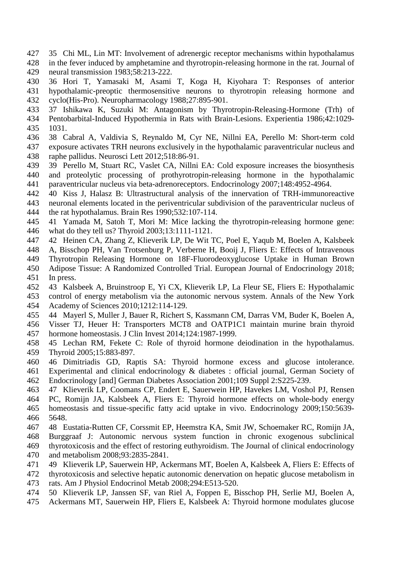- 35 Chi ML, Lin MT: Involvement of adrenergic receptor mechanisms within hypothalamus in the fever induced by amphetamine and thyrotropin-releasing hormone in the rat. Journal of
- neural transmission 1983;58:213-222.
- 36 Hori T, Yamasaki M, Asami T, Koga H, Kiyohara T: Responses of anterior hypothalamic-preoptic thermosensitive neurons to thyrotropin releasing hormone and
- cyclo(His-Pro). Neuropharmacology 1988;27:895-901.
- 37 Ishikawa K, Suzuki M: Antagonism by Thyrotropin-Releasing-Hormone (Trh) of
- Pentobarbital-Induced Hypothermia in Rats with Brain-Lesions. Experientia 1986;42:1029- 1031.
- 38 Cabral A, Valdivia S, Reynaldo M, Cyr NE, Nillni EA, Perello M: Short-term cold exposure activates TRH neurons exclusively in the hypothalamic paraventricular nucleus and raphe pallidus. Neurosci Lett 2012;518:86-91.
- 39 Perello M, Stuart RC, Vaslet CA, Nillni EA: Cold exposure increases the biosynthesis and proteolytic processing of prothyrotropin-releasing hormone in the hypothalamic paraventricular nucleus via beta-adrenoreceptors. Endocrinology 2007;148:4952-4964.
- 40 Kiss J, Halasz B: Ultrastructural analysis of the innervation of TRH-immunoreactive
- neuronal elements located in the periventricular subdivision of the paraventricular nucleus of the rat hypothalamus. Brain Res 1990;532:107-114.
- 41 Yamada M, Satoh T, Mori M: Mice lacking the thyrotropin-releasing hormone gene: what do they tell us? Thyroid 2003;13:1111-1121.
- 42 Heinen CA, Zhang Z, Klieverik LP, De Wit TC, Poel E, Yaqub M, Boelen A, Kalsbeek
- A, Bisschop PH, Van Trotsenburg P, Verberne H, Booij J, Fliers E: Effects of Intravenous
- Thyrotropin Releasing Hormone on 18F-Fluorodeoxyglucose Uptake in Human Brown
- Adipose Tissue: A Randomized Controlled Trial. European Journal of Endocrinology 2018; In press.
- 43 Kalsbeek A, Bruinstroop E, Yi CX, Klieverik LP, La Fleur SE, Fliers E: Hypothalamic
- control of energy metabolism via the autonomic nervous system. Annals of the New York Academy of Sciences 2010;1212:114-129.
- 44 Mayerl S, Muller J, Bauer R, Richert S, Kassmann CM, Darras VM, Buder K, Boelen A,
- Visser TJ, Heuer H: Transporters MCT8 and OATP1C1 maintain murine brain thyroid hormone homeostasis. J Clin Invest 2014;124:1987-1999.
- 45 Lechan RM, Fekete C: Role of thyroid hormone deiodination in the hypothalamus. Thyroid 2005;15:883-897.
- 46 Dimitriadis GD, Raptis SA: Thyroid hormone excess and glucose intolerance.
- Experimental and clinical endocrinology & diabetes : official journal, German Society of
- Endocrinology [and] German Diabetes Association 2001;109 Suppl 2:S225-239.
- 47 Klieverik LP, Coomans CP, Endert E, Sauerwein HP, Havekes LM, Voshol PJ, Rensen PC, Romijn JA, Kalsbeek A, Fliers E: Thyroid hormone effects on whole-body energy homeostasis and tissue-specific fatty acid uptake in vivo. Endocrinology 2009;150:5639-
- 5648.
- 48 Eustatia-Rutten CF, Corssmit EP, Heemstra KA, Smit JW, Schoemaker RC, Romijn JA,
- Burggraaf J: Autonomic nervous system function in chronic exogenous subclinical thyrotoxicosis and the effect of restoring euthyroidism. The Journal of clinical endocrinology
- and metabolism 2008;93:2835-2841.
- 49 Klieverik LP, Sauerwein HP, Ackermans MT, Boelen A, Kalsbeek A, Fliers E: Effects of
- thyrotoxicosis and selective hepatic autonomic denervation on hepatic glucose metabolism in
- rats. Am J Physiol Endocrinol Metab 2008;294:E513-520.
- 50 Klieverik LP, Janssen SF, van Riel A, Foppen E, Bisschop PH, Serlie MJ, Boelen A,
- Ackermans MT, Sauerwein HP, Fliers E, Kalsbeek A: Thyroid hormone modulates glucose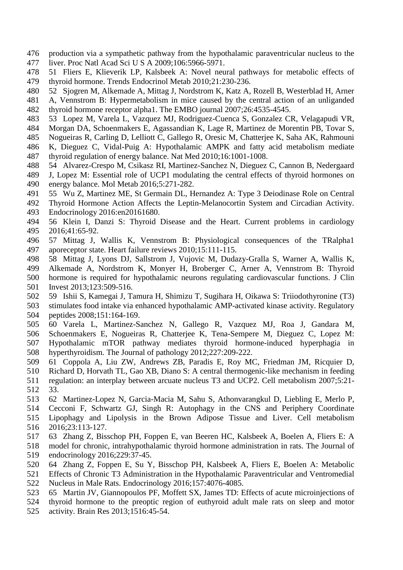- production via a sympathetic pathway from the hypothalamic paraventricular nucleus to the liver. Proc Natl Acad Sci U S A 2009;106:5966-5971.
- 51 Fliers E, Klieverik LP, Kalsbeek A: Novel neural pathways for metabolic effects of thyroid hormone. Trends Endocrinol Metab 2010;21:230-236.
- 52 Sjogren M, Alkemade A, Mittag J, Nordstrom K, Katz A, Rozell B, Westerblad H, Arner
- A, Vennstrom B: Hypermetabolism in mice caused by the central action of an unliganded
- thyroid hormone receptor alpha1. The EMBO journal 2007;26:4535-4545.
- 53 Lopez M, Varela L, Vazquez MJ, Rodriguez-Cuenca S, Gonzalez CR, Velagapudi VR,
- Morgan DA, Schoenmakers E, Agassandian K, Lage R, Martinez de Morentin PB, Tovar S,
- Nogueiras R, Carling D, Lelliott C, Gallego R, Oresic M, Chatterjee K, Saha AK, Rahmouni
- K, Dieguez C, Vidal-Puig A: Hypothalamic AMPK and fatty acid metabolism mediate thyroid regulation of energy balance. Nat Med 2010;16:1001-1008.
- 54 Alvarez-Crespo M, Csikasz RI, Martinez-Sanchez N, Dieguez C, Cannon B, Nedergaard
- J, Lopez M: Essential role of UCP1 modulating the central effects of thyroid hormones on energy balance. Mol Metab 2016;5:271-282.
- 55 Wu Z, Martinez ME, St Germain DL, Hernandez A: Type 3 Deiodinase Role on Central
- Thyroid Hormone Action Affects the Leptin-Melanocortin System and Circadian Activity.
- Endocrinology 2016:en20161680.
- 56 Klein I, Danzi S: Thyroid Disease and the Heart. Current problems in cardiology 2016;41:65-92.
- 57 Mittag J, Wallis K, Vennstrom B: Physiological consequences of the TRalpha1 aporeceptor state. Heart failure reviews 2010;15:111-115.
- 58 Mittag J, Lyons DJ, Sallstrom J, Vujovic M, Dudazy-Gralla S, Warner A, Wallis K,
- Alkemade A, Nordstrom K, Monyer H, Broberger C, Arner A, Vennstrom B: Thyroid
- hormone is required for hypothalamic neurons regulating cardiovascular functions. J Clin
- Invest 2013;123:509-516.
- 59 Ishii S, Kamegai J, Tamura H, Shimizu T, Sugihara H, Oikawa S: Triiodothyronine (T3)
- stimulates food intake via enhanced hypothalamic AMP-activated kinase activity. Regulatory peptides 2008;151:164-169.
- 60 Varela L, Martinez-Sanchez N, Gallego R, Vazquez MJ, Roa J, Gandara M, Schoenmakers E, Nogueiras R, Chatterjee K, Tena-Sempere M, Dieguez C, Lopez M: Hypothalamic mTOR pathway mediates thyroid hormone-induced hyperphagia in
- hyperthyroidism. The Journal of pathology 2012;227:209-222.
- 61 Coppola A, Liu ZW, Andrews ZB, Paradis E, Roy MC, Friedman JM, Ricquier D,
- Richard D, Horvath TL, Gao XB, Diano S: A central thermogenic-like mechanism in feeding
- regulation: an interplay between arcuate nucleus T3 and UCP2. Cell metabolism 2007;5:21- 33.
- 62 Martinez-Lopez N, Garcia-Macia M, Sahu S, Athonvarangkul D, Liebling E, Merlo P,
- Cecconi F, Schwartz GJ, Singh R: Autophagy in the CNS and Periphery Coordinate Lipophagy and Lipolysis in the Brown Adipose Tissue and Liver. Cell metabolism
- 2016;23:113-127.
- 63 Zhang Z, Bisschop PH, Foppen E, van Beeren HC, Kalsbeek A, Boelen A, Fliers E: A
- model for chronic, intrahypothalamic thyroid hormone administration in rats. The Journal of endocrinology 2016;229:37-45.
- 64 Zhang Z, Foppen E, Su Y, Bisschop PH, Kalsbeek A, Fliers E, Boelen A: Metabolic
- Effects of Chronic T3 Administration in the Hypothalamic Paraventricular and Ventromedial Nucleus in Male Rats. Endocrinology 2016;157:4076-4085.
- 65 Martin JV, Giannopoulos PF, Moffett SX, James TD: Effects of acute microinjections of
- thyroid hormone to the preoptic region of euthyroid adult male rats on sleep and motor
- activity. Brain Res 2013;1516:45-54.